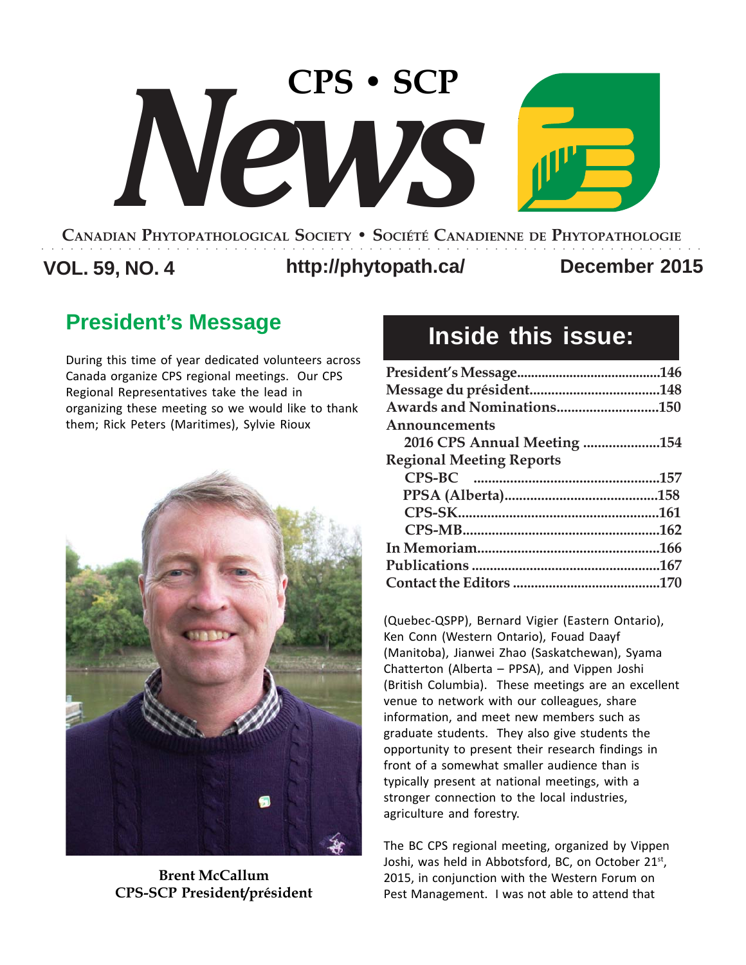# **CANADIAN PHYTOPATHOLOGICAL SOCIETY • SOCIÉTÉ CANADIENNE DE PHYTOPATHOLOGIE CPS • SCP** *News*

**VOL. 59, NO. 4 http://phytopath.ca/ December 2015** ○○○○○○○○○○○○○○○○○○○○○○○○○○○○○○○○○○○○○○○○○○○○○○○○○○○○○○○○○○○○○○○○○○○○○

### **President's Message**

During this time of year dedicated volunteers across Canada organize CPS regional meetings. Our CPS Regional Representatives take the lead in organizing these meeting so we would like to thank them; Rick Peters (Maritimes), Sylvie Rioux



**Brent McCallum CPS-SCP President/président**

### **Inside this issue:**

| Awards and Nominations150       |  |
|---------------------------------|--|
| Announcements                   |  |
| 2016 CPS Annual Meeting 154     |  |
| <b>Regional Meeting Reports</b> |  |
|                                 |  |
|                                 |  |
|                                 |  |
|                                 |  |
|                                 |  |
|                                 |  |
|                                 |  |

(Quebec-QSPP), Bernard Vigier (Eastern Ontario), Ken Conn (Western Ontario), Fouad Daayf (Manitoba), Jianwei Zhao (Saskatchewan), Syama Chatterton (Alberta – PPSA), and Vippen Joshi (British Columbia). These meetings are an excellent venue to network with our colleagues, share information, and meet new members such as graduate students. They also give students the opportunity to present their research findings in front of a somewhat smaller audience than is typically present at national meetings, with a stronger connection to the local industries, agriculture and forestry.

The BC CPS regional meeting, organized by Vippen Joshi, was held in Abbotsford, BC, on October 21<sup>st</sup>, 2015, in conjunction with the Western Forum on Pest Management. I was not able to attend that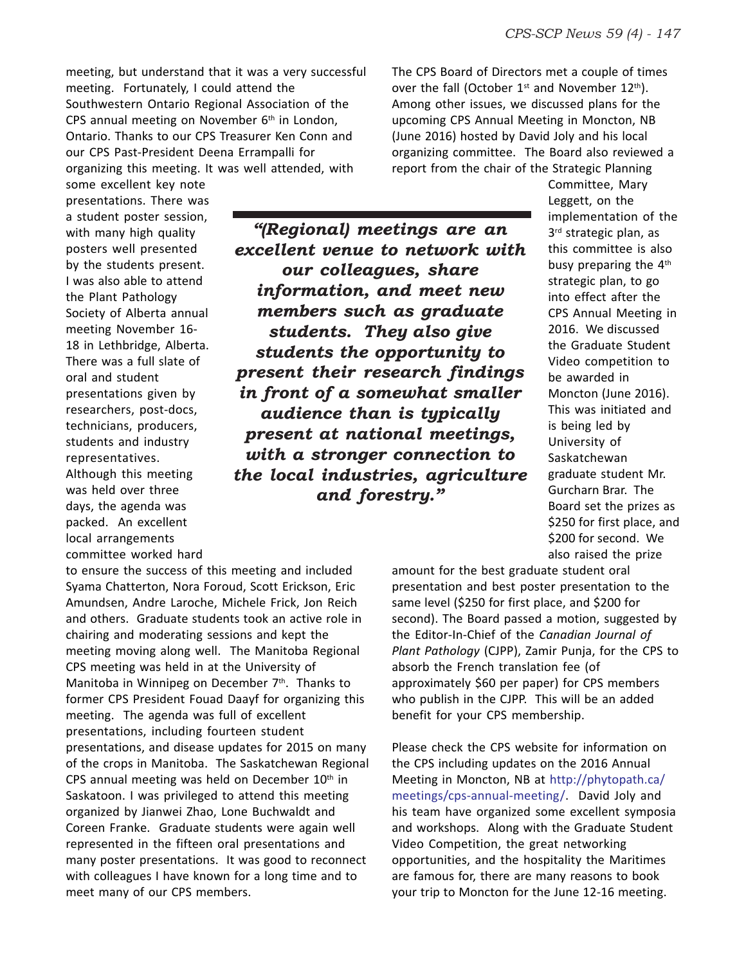meeting, but understand that it was a very successful meeting. Fortunately, I could attend the Southwestern Ontario Regional Association of the CPS annual meeting on November  $6<sup>th</sup>$  in London, Ontario. Thanks to our CPS Treasurer Ken Conn and our CPS Past-President Deena Errampalli for organizing this meeting. It was well attended, with

The CPS Board of Directors met a couple of times over the fall (October  $1^{st}$  and November  $12^{th}$ ). Among other issues, we discussed plans for the upcoming CPS Annual Meeting in Moncton, NB (June 2016) hosted by David Joly and his local organizing committee. The Board also reviewed a report from the chair of the Strategic Planning

some excellent key note presentations. There was a student poster session, with many high quality posters well presented by the students present. I was also able to attend the Plant Pathology Society of Alberta annual meeting November 16- 18 in Lethbridge, Alberta. There was a full slate of oral and student presentations given by researchers, post-docs, technicians, producers, students and industry representatives. Although this meeting was held over three days, the agenda was packed. An excellent local arrangements committee worked hard

*"(Regional) meetings are an excellent venue to network with our colleagues, share information, and meet new members such as graduate students. They also give students the opportunity to present their research findings in front of a somewhat smaller audience than is typically present at national meetings, with a stronger connection to the local industries, agriculture and forestry."*

Committee, Mary Leggett, on the implementation of the 3<sup>rd</sup> strategic plan, as this committee is also busy preparing the  $4<sup>th</sup>$ strategic plan, to go into effect after the CPS Annual Meeting in 2016. We discussed the Graduate Student Video competition to be awarded in Moncton (June 2016). This was initiated and is being led by University of Saskatchewan graduate student Mr. Gurcharn Brar. The Board set the prizes as \$250 for first place, and \$200 for second. We also raised the prize

to ensure the success of this meeting and included Syama Chatterton, Nora Foroud, Scott Erickson, Eric Amundsen, Andre Laroche, Michele Frick, Jon Reich and others. Graduate students took an active role in chairing and moderating sessions and kept the meeting moving along well. The Manitoba Regional CPS meeting was held in at the University of Manitoba in Winnipeg on December  $7<sup>th</sup>$ . Thanks to former CPS President Fouad Daayf for organizing this meeting. The agenda was full of excellent presentations, including fourteen student presentations, and disease updates for 2015 on many of the crops in Manitoba. The Saskatchewan Regional CPS annual meeting was held on December  $10<sup>th</sup>$  in Saskatoon. I was privileged to attend this meeting organized by Jianwei Zhao, Lone Buchwaldt and Coreen Franke. Graduate students were again well represented in the fifteen oral presentations and many poster presentations. It was good to reconnect with colleagues I have known for a long time and to meet many of our CPS members.

amount for the best graduate student oral presentation and best poster presentation to the same level (\$250 for first place, and \$200 for second). The Board passed a motion, suggested by the Editor-In-Chief of the *Canadian Journal of Plant Pathology* (CJPP), Zamir Punja, for the CPS to absorb the French translation fee (of approximately \$60 per paper) for CPS members who publish in the CJPP. This will be an added benefit for your CPS membership.

Please check the CPS website for information on the CPS including updates on the 2016 Annual Meeting in Moncton, NB at http://phytopath.ca/ meetings/cps-annual-meeting/. David Joly and his team have organized some excellent symposia and workshops. Along with the Graduate Student Video Competition, the great networking opportunities, and the hospitality the Maritimes are famous for, there are many reasons to book your trip to Moncton for the June 12-16 meeting.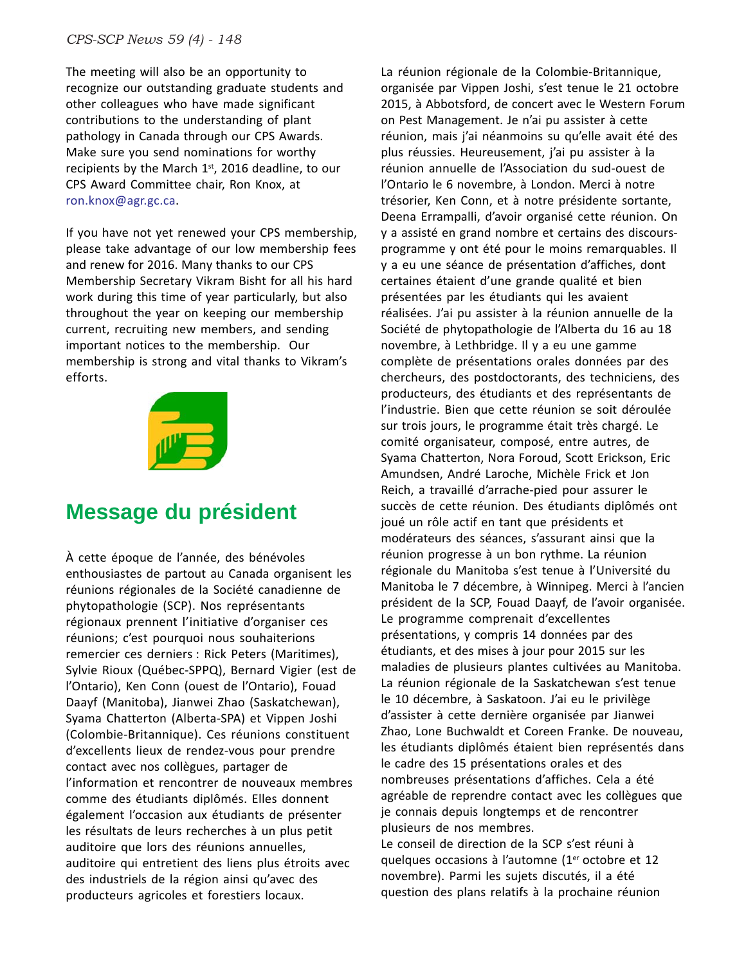The meeting will also be an opportunity to recognize our outstanding graduate students and other colleagues who have made significant contributions to the understanding of plant pathology in Canada through our CPS Awards. Make sure you send nominations for worthy recipients by the March  $1<sup>st</sup>$ , 2016 deadline, to our CPS Award Committee chair, Ron Knox, at ron.knox@agr.gc.ca.

If you have not yet renewed your CPS membership, please take advantage of our low membership fees and renew for 2016. Many thanks to our CPS Membership Secretary Vikram Bisht for all his hard work during this time of year particularly, but also throughout the year on keeping our membership current, recruiting new members, and sending important notices to the membership. Our membership is strong and vital thanks to Vikram's efforts.



### **Message du président**

À cette époque de l'année, des bénévoles enthousiastes de partout au Canada organisent les réunions régionales de la Société canadienne de phytopathologie (SCP). Nos représentants régionaux prennent l'initiative d'organiser ces réunions; c'est pourquoi nous souhaiterions remercier ces derniers : Rick Peters (Maritimes), Sylvie Rioux (Québec-SPPQ), Bernard Vigier (est de l'Ontario), Ken Conn (ouest de l'Ontario), Fouad Daayf (Manitoba), Jianwei Zhao (Saskatchewan), Syama Chatterton (Alberta-SPA) et Vippen Joshi (Colombie-Britannique). Ces réunions constituent d'excellents lieux de rendez-vous pour prendre contact avec nos collègues, partager de l'information et rencontrer de nouveaux membres comme des étudiants diplômés. Elles donnent également l'occasion aux étudiants de présenter les résultats de leurs recherches à un plus petit auditoire que lors des réunions annuelles, auditoire qui entretient des liens plus étroits avec des industriels de la région ainsi qu'avec des producteurs agricoles et forestiers locaux.

La réunion régionale de la Colombie-Britannique, organisée par Vippen Joshi, s'est tenue le 21 octobre 2015, à Abbotsford, de concert avec le Western Forum on Pest Management. Je n'ai pu assister à cette réunion, mais j'ai néanmoins su qu'elle avait été des plus réussies. Heureusement, j'ai pu assister à la réunion annuelle de l'Association du sud-ouest de l'Ontario le 6 novembre, à London. Merci à notre trésorier, Ken Conn, et à notre présidente sortante, Deena Errampalli, d'avoir organisé cette réunion. On y a assisté en grand nombre et certains des discoursprogramme y ont été pour le moins remarquables. Il y a eu une séance de présentation d'affiches, dont certaines étaient d'une grande qualité et bien présentées par les étudiants qui les avaient réalisées. J'ai pu assister à la réunion annuelle de la Société de phytopathologie de l'Alberta du 16 au 18 novembre, à Lethbridge. Il y a eu une gamme complète de présentations orales données par des chercheurs, des postdoctorants, des techniciens, des producteurs, des étudiants et des représentants de l'industrie. Bien que cette réunion se soit déroulée sur trois jours, le programme était très chargé. Le comité organisateur, composé, entre autres, de Syama Chatterton, Nora Foroud, Scott Erickson, Eric Amundsen, André Laroche, Michèle Frick et Jon Reich, a travaillé d'arrache-pied pour assurer le succès de cette réunion. Des étudiants diplômés ont joué un rôle actif en tant que présidents et modérateurs des séances, s'assurant ainsi que la réunion progresse à un bon rythme. La réunion régionale du Manitoba s'est tenue à l'Université du Manitoba le 7 décembre, à Winnipeg. Merci à l'ancien président de la SCP, Fouad Daayf, de l'avoir organisée. Le programme comprenait d'excellentes présentations, y compris 14 données par des étudiants, et des mises à jour pour 2015 sur les maladies de plusieurs plantes cultivées au Manitoba. La réunion régionale de la Saskatchewan s'est tenue le 10 décembre, à Saskatoon. J'ai eu le privilège d'assister à cette dernière organisée par Jianwei Zhao, Lone Buchwaldt et Coreen Franke. De nouveau, les étudiants diplômés étaient bien représentés dans le cadre des 15 présentations orales et des nombreuses présentations d'affiches. Cela a été agréable de reprendre contact avec les collègues que je connais depuis longtemps et de rencontrer plusieurs de nos membres.

Le conseil de direction de la SCP s'est réuni à quelques occasions à l'automne (1er octobre et 12 novembre). Parmi les sujets discutés, il a été question des plans relatifs à la prochaine réunion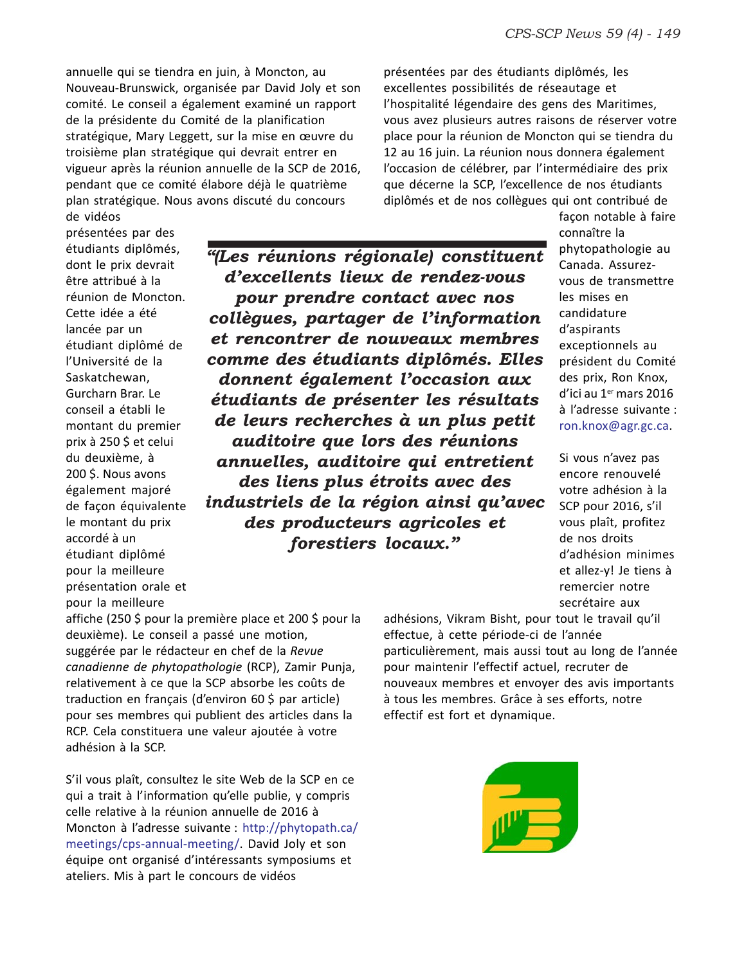annuelle qui se tiendra en juin, à Moncton, au Nouveau-Brunswick, organisée par David Joly et son comité. Le conseil a également examiné un rapport de la présidente du Comité de la planification stratégique, Mary Leggett, sur la mise en œuvre du troisième plan stratégique qui devrait entrer en vigueur après la réunion annuelle de la SCP de 2016, pendant que ce comité élabore déjà le quatrième plan stratégique. Nous avons discuté du concours de vidéos

présentées par des étudiants diplômés, les excellentes possibilités de réseautage et l'hospitalité légendaire des gens des Maritimes, vous avez plusieurs autres raisons de réserver votre place pour la réunion de Moncton qui se tiendra du 12 au 16 juin. La réunion nous donnera également l'occasion de célébrer, par l'intermédiaire des prix que décerne la SCP, l'excellence de nos étudiants diplômés et de nos collègues qui ont contribué de

présentées par des étudiants diplômés, dont le prix devrait être attribué à la réunion de Moncton. Cette idée a été lancée par un étudiant diplômé de l'Université de la Saskatchewan, Gurcharn Brar. Le conseil a établi le montant du premier prix à 250 \$ et celui du deuxième, à 200 \$. Nous avons également majoré de façon équivalente le montant du prix accordé à un étudiant diplômé pour la meilleure présentation orale et pour la meilleure

*"(Les réunions régionale) constituent d'excellents lieux de rendez-vous pour prendre contact avec nos collègues, partager de l'information et rencontrer de nouveaux membres comme des étudiants diplômés. Elles donnent également l'occasion aux étudiants de présenter les résultats de leurs recherches à un plus petit auditoire que lors des réunions annuelles, auditoire qui entretient des liens plus étroits avec des industriels de la région ainsi qu'avec des producteurs agricoles et forestiers locaux."*

façon notable à faire connaître la phytopathologie au Canada. Assurezvous de transmettre les mises en candidature d'aspirants exceptionnels au président du Comité des prix, Ron Knox, d'ici au 1<sup>er</sup> mars 2016 à l'adresse suivante : ron.knox@agr.gc.ca.

Si vous n'avez pas encore renouvelé votre adhésion à la SCP pour 2016, s'il vous plaît, profitez de nos droits d'adhésion minimes et allez-y! Je tiens à remercier notre secrétaire aux

affiche (250 \$ pour la première place et 200 \$ pour la deuxième). Le conseil a passé une motion, suggérée par le rédacteur en chef de la *Revue canadienne de phytopathologie* (RCP), Zamir Punja, relativement à ce que la SCP absorbe les coûts de traduction en français (d'environ 60 \$ par article) pour ses membres qui publient des articles dans la RCP. Cela constituera une valeur ajoutée à votre adhésion à la SCP.

S'il vous plaît, consultez le site Web de la SCP en ce qui a trait à l'information qu'elle publie, y compris celle relative à la réunion annuelle de 2016 à Moncton à l'adresse suivante : http://phytopath.ca/ meetings/cps-annual-meeting/. David Joly et son équipe ont organisé d'intéressants symposiums et ateliers. Mis à part le concours de vidéos

adhésions, Vikram Bisht, pour tout le travail qu'il effectue, à cette période-ci de l'année particulièrement, mais aussi tout au long de l'année pour maintenir l'effectif actuel, recruter de nouveaux membres et envoyer des avis importants à tous les membres. Grâce à ses efforts, notre effectif est fort et dynamique.

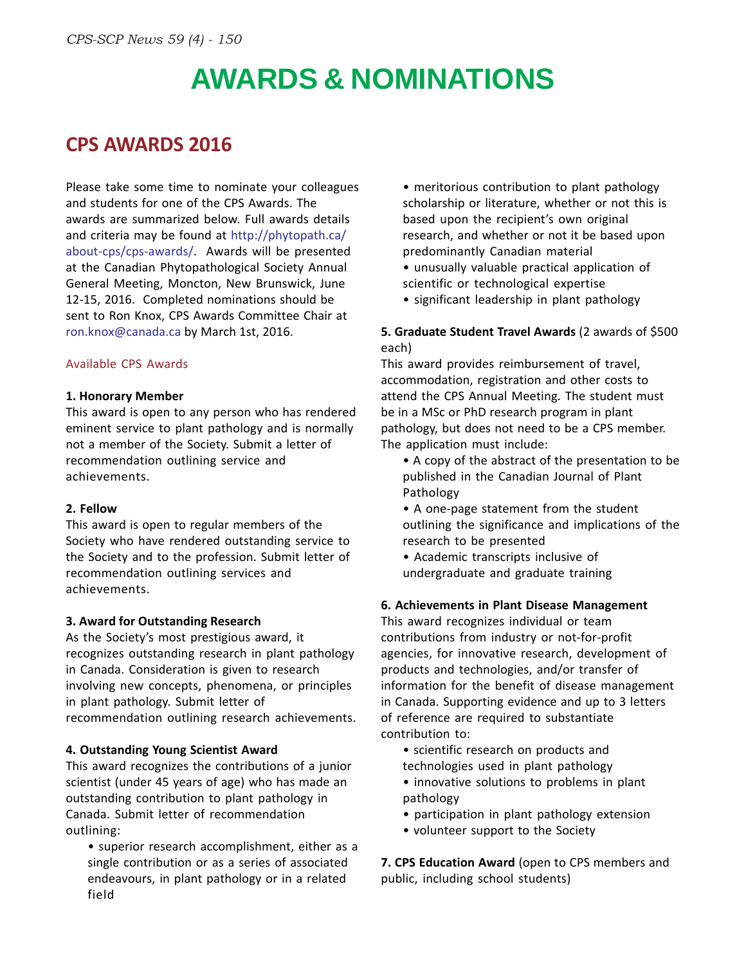# **AWARDS & NOMINATIONS**

### **CPS AWARDS 2016**

Please take some time to nominate your colleagues and students for one of the CPS Awards. The awards are summarized below. Full awards details and criteria may be found at http://phytopath.ca/ about-cps/cps-awards/. Awards will be presented at the Canadian Phytopathological Society Annual General Meeting, Moncton, New Brunswick, June 12-15, 2016. Completed nominations should be sent to Ron Knox, CPS Awards Committee Chair at ron.knox@canada.ca by March 1st, 2016.

#### Available CPS Awards

#### **1. Honorary Member**

This award is open to any person who has rendered eminent service to plant pathology and is normally not a member of the Society. Submit a letter of recommendation outlining service and achievements.

#### **2. Fellow**

This award is open to regular members of the Society who have rendered outstanding service to the Society and to the profession. Submit letter of recommendation outlining services and achievements.

#### **3. Award for Outstanding Research**

As the Society's most prestigious award, it recognizes outstanding research in plant pathology in Canada. Consideration is given to research involving new concepts, phenomena, or principles in plant pathology. Submit letter of recommendation outlining research achievements.

#### **4. Outstanding Young Scientist Award**

This award recognizes the contributions of a junior scientist (under 45 years of age) who has made an outstanding contribution to plant pathology in Canada. Submit letter of recommendation outlining:

• superior research accomplishment, either as a single contribution or as a series of associated endeavours, in plant pathology or in a related field

• meritorious contribution to plant pathology scholarship or literature, whether or not this is based upon the recipient's own original research, and whether or not it be based upon predominantly Canadian material

- unusually valuable practical application of scientific or technological expertise
- significant leadership in plant pathology

#### **5. Graduate Student Travel Awards** (2 awards of \$500 each)

This award provides reimbursement of travel, accommodation, registration and other costs to attend the CPS Annual Meeting. The student must be in a MSc or PhD research program in plant pathology, but does not need to be a CPS member. The application must include:

- A copy of the abstract of the presentation to be published in the Canadian Journal of Plant Pathology
- A one-page statement from the student outlining the significance and implications of the research to be presented
- Academic transcripts inclusive of undergraduate and graduate training

#### **6. Achievements in Plant Disease Management**

This award recognizes individual or team contributions from industry or not-for-profit agencies, for innovative research, development of products and technologies, and/or transfer of information for the benefit of disease management in Canada. Supporting evidence and up to 3 letters of reference are required to substantiate contribution to:

- scientific research on products and
- technologies used in plant pathology
- innovative solutions to problems in plant pathology
- participation in plant pathology extension
- volunteer support to the Society

**7. CPS Education Award** (open to CPS members and public, including school students)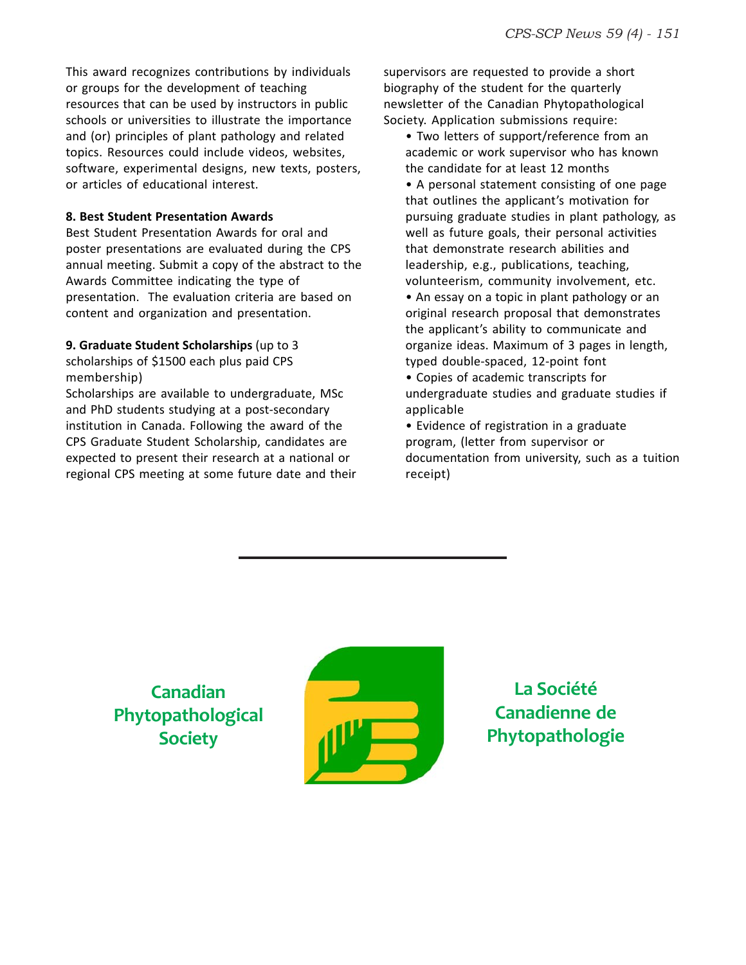This award recognizes contributions by individuals or groups for the development of teaching resources that can be used by instructors in public schools or universities to illustrate the importance and (or) principles of plant pathology and related topics. Resources could include videos, websites, software, experimental designs, new texts, posters, or articles of educational interest.

#### **8. Best Student Presentation Awards**

Best Student Presentation Awards for oral and poster presentations are evaluated during the CPS annual meeting. Submit a copy of the abstract to the Awards Committee indicating the type of presentation. The evaluation criteria are based on content and organization and presentation.

#### **9. Graduate Student Scholarships** (up to 3

scholarships of \$1500 each plus paid CPS membership)

Scholarships are available to undergraduate, MSc and PhD students studying at a post-secondary institution in Canada. Following the award of the CPS Graduate Student Scholarship, candidates are expected to present their research at a national or regional CPS meeting at some future date and their supervisors are requested to provide a short biography of the student for the quarterly newsletter of the Canadian Phytopathological Society. Application submissions require:

• Two letters of support/reference from an academic or work supervisor who has known the candidate for at least 12 months

• A personal statement consisting of one page that outlines the applicant's motivation for pursuing graduate studies in plant pathology, as well as future goals, their personal activities that demonstrate research abilities and leadership, e.g., publications, teaching, volunteerism, community involvement, etc.

• An essay on a topic in plant pathology or an original research proposal that demonstrates the applicant's ability to communicate and organize ideas. Maximum of 3 pages in length, typed double-spaced, 12-point font

• Copies of academic transcripts for undergraduate studies and graduate studies if applicable

• Evidence of registration in a graduate program, (letter from supervisor or documentation from university, such as a tuition receipt)

**Canadian Phytopathological Society**



**La Société Canadienne de Phytopathologie**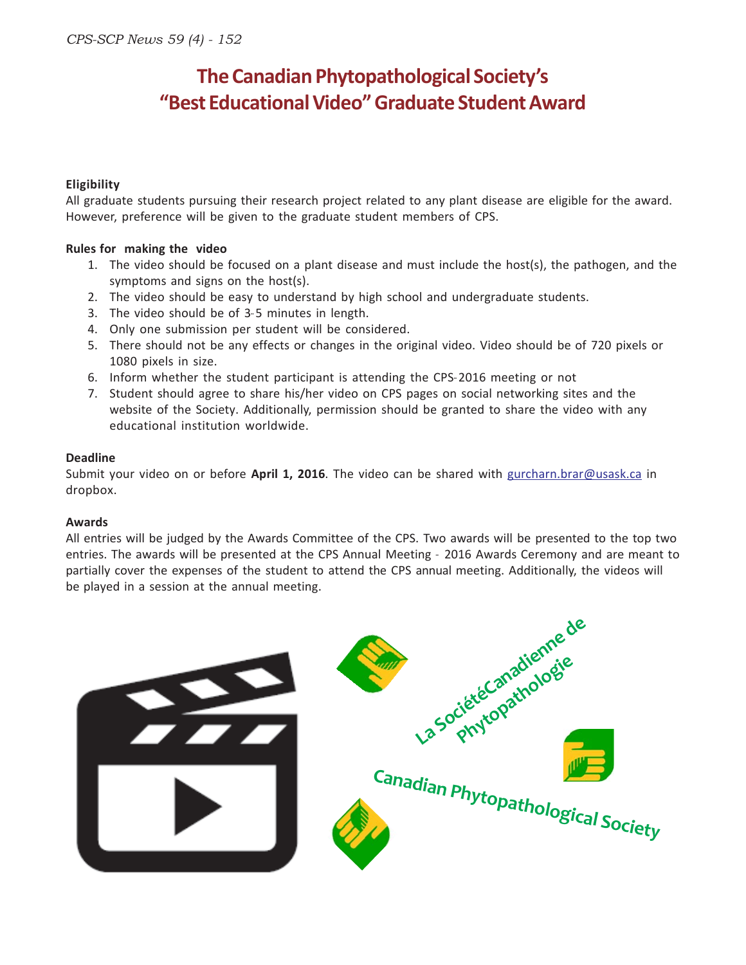### **The Canadian Phytopathological Society's "Best Educational Video" Graduate Student Award**

#### **Eligibility**

All graduate students pursuing their research project related to any plant disease are eligible for the award. However, preference will be given to the graduate student members of CPS.

#### **Rules for making the video**

- 1. The video should be focused on a plant disease and must include the host(s), the pathogen, and the symptoms and signs on the host(s).
- 2. The video should be easy to understand by high school and undergraduate students.
- 3. The video should be of 3-5 minutes in length.
- 4. Only one submission per student will be considered.
- 5. There should not be any effects or changes in the original video. Video should be of 720 pixels or 1080 pixels in size.
- 6. Inform whether the student participant is attending the CPS-2016 meeting or not
- 7. Student should agree to share his/her video on CPS pages on social networking sites and the website of the Society. Additionally, permission should be granted to share the video with any educational institution worldwide.

#### **Deadline**

Submit your video on or before **April 1, 2016**. The video can be shared with gurcharn.brar@usask.ca in dropbox.

#### **Awards**

All entries will be judged by the Awards Committee of the CPS. Two awards will be presented to the top two entries. The awards will be presented at the CPS Annual Meeting - 2016 Awards Ceremony and are meant to partially cover the expenses of the student to attend the CPS annual meeting. Additionally, the videos will be played in a session at the annual meeting.

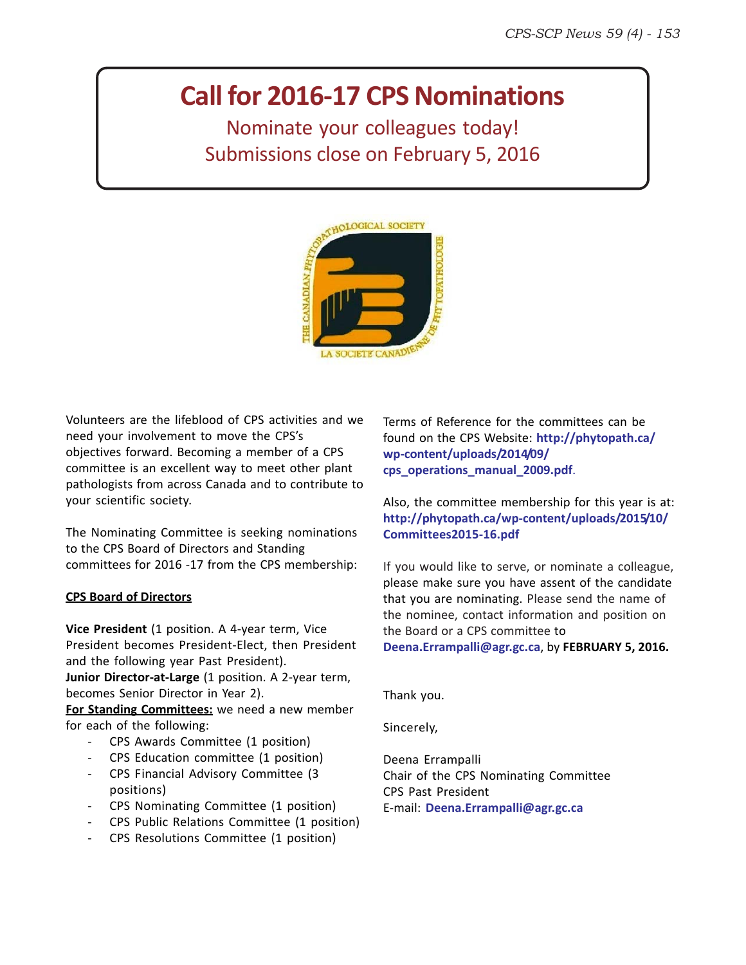### **Call for 2016-17 CPS Nominations**

Nominate your colleagues today! Submissions close on February 5, 2016



Volunteers are the lifeblood of CPS activities and we need your involvement to move the CPS's objectives forward. Becoming a member of a CPS committee is an excellent way to meet other plant pathologists from across Canada and to contribute to your scientific society.

The Nominating Committee is seeking nominations to the CPS Board of Directors and Standing committees for 2016 -17 from the CPS membership:

#### **CPS Board of Directors**

**Vice President** (1 position. A 4-year term, Vice President becomes President-Elect, then President and the following year Past President).

**Junior Director-at-Large** (1 position. A 2-year term, becomes Senior Director in Year 2).

**For Standing Committees:** we need a new member for each of the following:

- CPS Awards Committee (1 position)
- CPS Education committee (1 position)
- CPS Financial Advisory Committee (3 positions)
- CPS Nominating Committee (1 position)
- CPS Public Relations Committee (1 position)
- CPS Resolutions Committee (1 position)

Terms of Reference for the committees can be found on the CPS Website: **http://phytopath.ca/ wp-content/uploads/2014/09/ cps\_operations\_manual\_2009.pdf**.

Also, the committee membership for this year is at: **http://phytopath.ca/wp-content/uploads/2015/10/ Committees2015-16.pdf**

If you would like to serve, or nominate a colleague, please make sure you have assent of the candidate that you are nominating. Please send the name of the nominee, contact information and position on the Board or a CPS committee to **Deena.Errampalli@agr.gc.ca**, by **FEBRUARY 5, 2016.**

Thank you.

Sincerely,

Deena Errampalli Chair of the CPS Nominating Committee CPS Past President E-mail: **Deena.Errampalli@agr.gc.ca**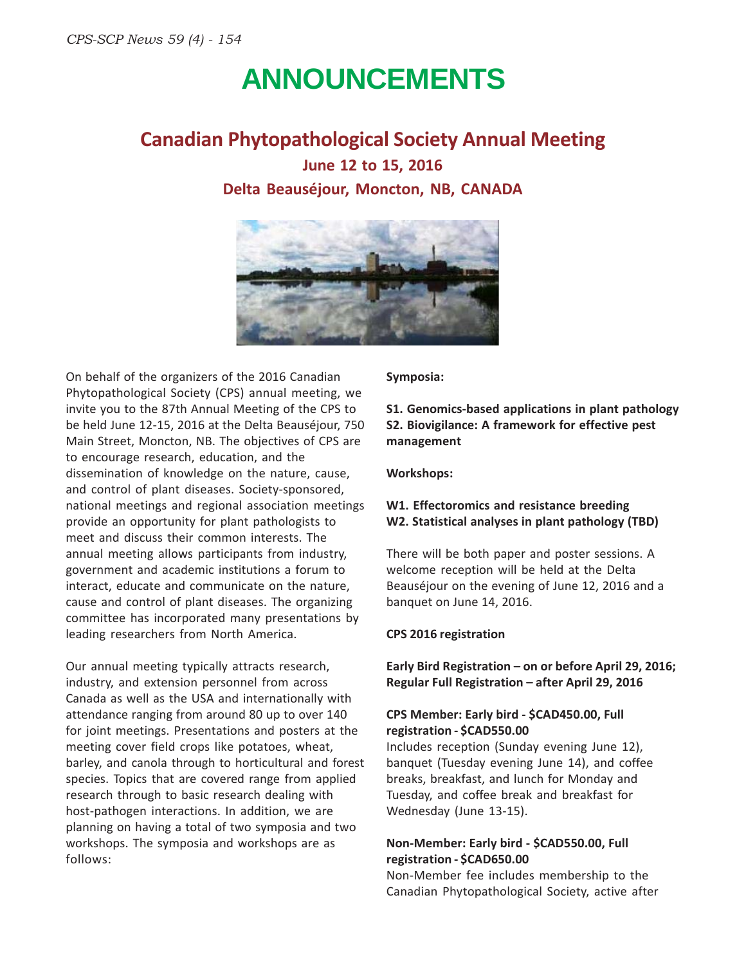### **ANNOUNCEMENTS**

**Canadian Phytopathological Society Annual Meeting**

**June 12 to 15, 2016 Delta Beauséjour, Moncton, NB, CANADA**



On behalf of the organizers of the 2016 Canadian Phytopathological Society (CPS) annual meeting, we invite you to the 87th Annual Meeting of the CPS to be held June 12-15, 2016 at the Delta Beauséjour, 750 Main Street, Moncton, NB. The objectives of CPS are to encourage research, education, and the dissemination of knowledge on the nature, cause, and control of plant diseases. Society-sponsored, national meetings and regional association meetings provide an opportunity for plant pathologists to meet and discuss their common interests. The annual meeting allows participants from industry, government and academic institutions a forum to interact, educate and communicate on the nature, cause and control of plant diseases. The organizing committee has incorporated many presentations by leading researchers from North America.

Our annual meeting typically attracts research, industry, and extension personnel from across Canada as well as the USA and internationally with attendance ranging from around 80 up to over 140 for joint meetings. Presentations and posters at the meeting cover field crops like potatoes, wheat, barley, and canola through to horticultural and forest species. Topics that are covered range from applied research through to basic research dealing with host-pathogen interactions. In addition, we are planning on having a total of two symposia and two workshops. The symposia and workshops are as follows:

**Symposia:**

**S1. Genomics-based applications in plant pathology S2. Biovigilance: A framework for effective pest management**

#### **Workshops:**

#### **W1. Effectoromics and resistance breeding W2. Statistical analyses in plant pathology (TBD)**

There will be both paper and poster sessions. A welcome reception will be held at the Delta Beauséjour on the evening of June 12, 2016 and a banquet on June 14, 2016.

#### **CPS 2016 registration**

**Early Bird Registration – on or before April 29, 2016; Regular Full Registration – after April 29, 2016**

#### **CPS Member: Early bird - \$CAD450.00, Full registration - \$CAD550.00**

Includes reception (Sunday evening June 12), banquet (Tuesday evening June 14), and coffee breaks, breakfast, and lunch for Monday and Tuesday, and coffee break and breakfast for Wednesday (June 13-15).

#### **Non-Member: Early bird - \$CAD550.00, Full registration - \$CAD650.00**

Non-Member fee includes membership to the Canadian Phytopathological Society, active after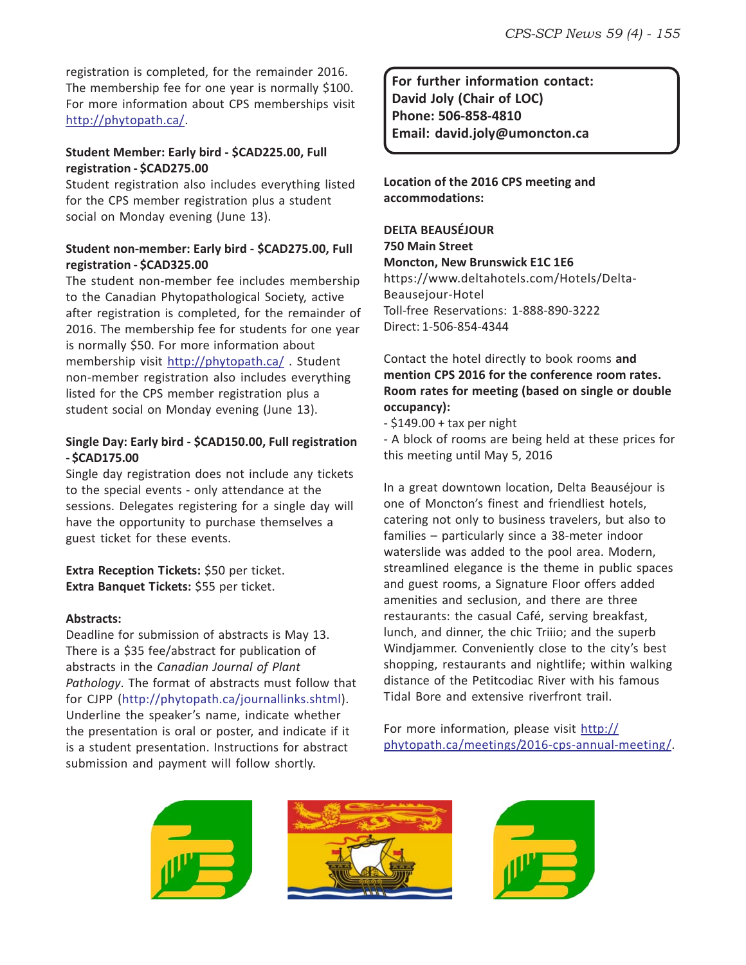registration is completed, for the remainder 2016. The membership fee for one year is normally \$100. For more information about CPS memberships visit http://phytopath.ca/.

#### **Student Member: Early bird - \$CAD225.00, Full registration - \$CAD275.00**

Student registration also includes everything listed for the CPS member registration plus a student social on Monday evening (June 13).

#### **Student non-member: Early bird - \$CAD275.00, Full registration - \$CAD325.00**

The student non-member fee includes membership to the Canadian Phytopathological Society, active after registration is completed, for the remainder of 2016. The membership fee for students for one year is normally \$50. For more information about membership visit http://phytopath.ca/ . Student non-member registration also includes everything listed for the CPS member registration plus a student social on Monday evening (June 13).

#### **Single Day: Early bird - \$CAD150.00, Full registration - \$CAD175.00**

Single day registration does not include any tickets to the special events - only attendance at the sessions. Delegates registering for a single day will have the opportunity to purchase themselves a guest ticket for these events.

**Extra Reception Tickets:** \$50 per ticket. **Extra Banquet Tickets:** \$55 per ticket.

#### **Abstracts:**

Deadline for submission of abstracts is May 13. There is a \$35 fee/abstract for publication of abstracts in the *Canadian Journal of Plant Pathology*. The format of abstracts must follow that for CJPP (http://phytopath.ca/journallinks.shtml). Underline the speaker's name, indicate whether the presentation is oral or poster, and indicate if it is a student presentation. Instructions for abstract submission and payment will follow shortly.

**For further information contact: David Joly (Chair of LOC) Phone: 506-858-4810 Email: david.joly@umoncton.ca**

**Location of the 2016 CPS meeting and accommodations:**

### **DELTA BEAUSÉJOUR 750 Main Street**

**Moncton, New Brunswick E1C 1E6** https://www.deltahotels.com/Hotels/Delta-Beausejour-Hotel Toll-free Reservations: 1-888-890-3222 Direct: 1-506-854-4344

#### Contact the hotel directly to book rooms **and mention CPS 2016 for the conference room rates. Room rates for meeting (based on single or double occupancy):**

 $-$  \$149.00 + tax per night

- A block of rooms are being held at these prices for this meeting until May 5, 2016

In a great downtown location, Delta Beauséjour is one of Moncton's finest and friendliest hotels, catering not only to business travelers, but also to families – particularly since a 38-meter indoor waterslide was added to the pool area. Modern, streamlined elegance is the theme in public spaces and guest rooms, a Signature Floor offers added amenities and seclusion, and there are three restaurants: the casual Café, serving breakfast, lunch, and dinner, the chic Triiio; and the superb Windjammer. Conveniently close to the city's best shopping, restaurants and nightlife; within walking distance of the Petitcodiac River with his famous Tidal Bore and extensive riverfront trail.

For more information, please visit http:// phytopath.ca/meetings/2016-cps-annual-meeting/.





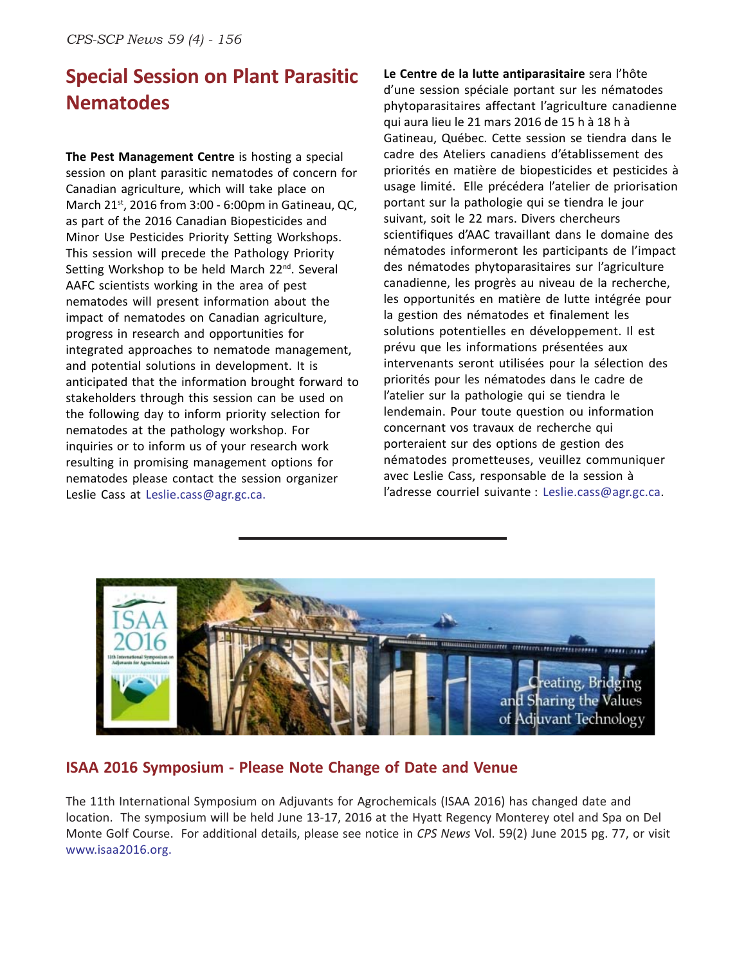### **Special Session on Plant Parasitic Nematodes**

**The Pest Management Centre** is hosting a special session on plant parasitic nematodes of concern for Canadian agriculture, which will take place on March 21st, 2016 from 3:00 - 6:00pm in Gatineau, QC, as part of the 2016 Canadian Biopesticides and Minor Use Pesticides Priority Setting Workshops. This session will precede the Pathology Priority Setting Workshop to be held March 22<sup>nd</sup>. Several AAFC scientists working in the area of pest nematodes will present information about the impact of nematodes on Canadian agriculture, progress in research and opportunities for integrated approaches to nematode management, and potential solutions in development. It is anticipated that the information brought forward to stakeholders through this session can be used on the following day to inform priority selection for nematodes at the pathology workshop. For inquiries or to inform us of your research work resulting in promising management options for nematodes please contact the session organizer Leslie Cass at Leslie.cass@agr.gc.ca.

**Le Centre de la lutte antiparasitaire** sera l'hôte d'une session spéciale portant sur les nématodes phytoparasitaires affectant l'agriculture canadienne qui aura lieu le 21 mars 2016 de 15 h à 18 h à Gatineau, Québec. Cette session se tiendra dans le cadre des Ateliers canadiens d'établissement des priorités en matière de biopesticides et pesticides à usage limité. Elle précédera l'atelier de priorisation portant sur la pathologie qui se tiendra le jour suivant, soit le 22 mars. Divers chercheurs scientifiques d'AAC travaillant dans le domaine des nématodes informeront les participants de l'impact des nématodes phytoparasitaires sur l'agriculture canadienne, les progrès au niveau de la recherche, les opportunités en matière de lutte intégrée pour la gestion des nématodes et finalement les solutions potentielles en développement. Il est prévu que les informations présentées aux intervenants seront utilisées pour la sélection des priorités pour les nématodes dans le cadre de l'atelier sur la pathologie qui se tiendra le lendemain. Pour toute question ou information concernant vos travaux de recherche qui porteraient sur des options de gestion des nématodes prometteuses, veuillez communiquer avec Leslie Cass, responsable de la session à l'adresse courriel suivante : Leslie.cass@agr.gc.ca.



#### **ISAA 2016 Symposium - Please Note Change of Date and Venue**

The 11th International Symposium on Adjuvants for Agrochemicals (ISAA 2016) has changed date and location. The symposium will be held June 13-17, 2016 at the Hyatt Regency Monterey otel and Spa on Del Monte Golf Course. For additional details, please see notice in *CPS News* Vol. 59(2) June 2015 pg. 77, or visit www.isaa2016.org.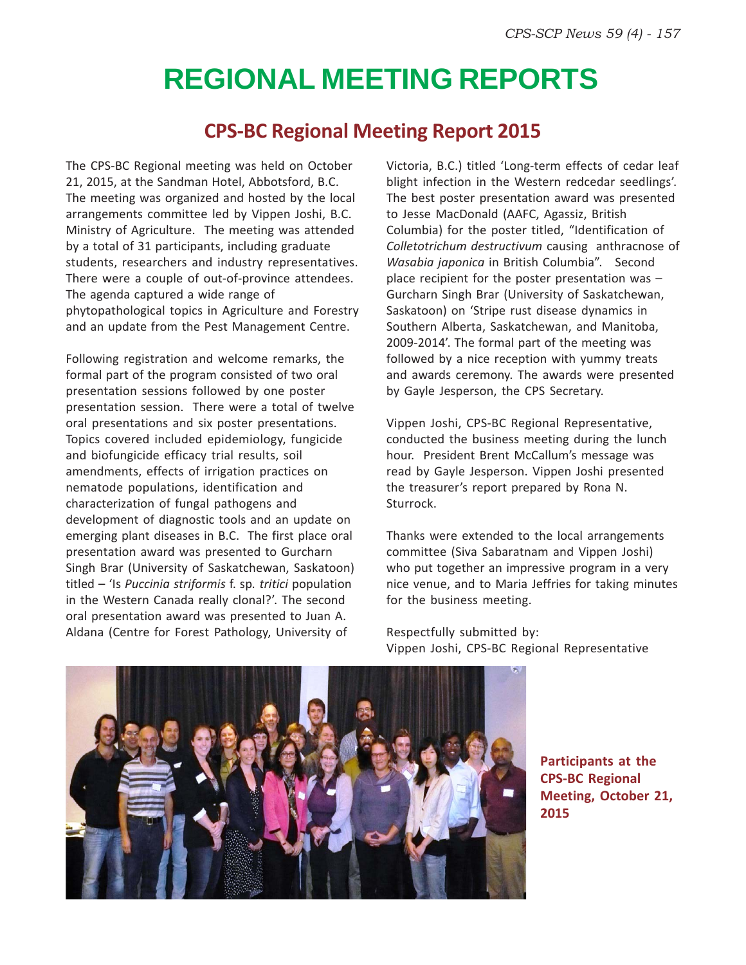## **REGIONAL MEETING REPORTS**

### **CPS-BC Regional Meeting Report 2015**

The CPS-BC Regional meeting was held on October 21, 2015, at the Sandman Hotel, Abbotsford, B.C. The meeting was organized and hosted by the local arrangements committee led by Vippen Joshi, B.C. Ministry of Agriculture. The meeting was attended by a total of 31 participants, including graduate students, researchers and industry representatives. There were a couple of out-of-province attendees. The agenda captured a wide range of phytopathological topics in Agriculture and Forestry and an update from the Pest Management Centre.

Following registration and welcome remarks, the formal part of the program consisted of two oral presentation sessions followed by one poster presentation session. There were a total of twelve oral presentations and six poster presentations. Topics covered included epidemiology, fungicide and biofungicide efficacy trial results, soil amendments, effects of irrigation practices on nematode populations, identification and characterization of fungal pathogens and development of diagnostic tools and an update on emerging plant diseases in B.C. The first place oral presentation award was presented to Gurcharn Singh Brar (University of Saskatchewan, Saskatoon) titled – 'Is *Puccinia striformis* f. sp*. tritici* population in the Western Canada really clonal?'. The second oral presentation award was presented to Juan A. Aldana (Centre for Forest Pathology, University of

Victoria, B.C.) titled 'Long-term effects of cedar leaf blight infection in the Western redcedar seedlings'. The best poster presentation award was presented to Jesse MacDonald (AAFC, Agassiz, British Columbia) for the poster titled, "Identification of *Colletotrichum destructivum* causing anthracnose of *Wasabia japonica* in British Columbia". Second place recipient for the poster presentation was – Gurcharn Singh Brar (University of Saskatchewan, Saskatoon) on 'Stripe rust disease dynamics in Southern Alberta, Saskatchewan, and Manitoba, 2009-2014'. The formal part of the meeting was followed by a nice reception with yummy treats and awards ceremony. The awards were presented by Gayle Jesperson, the CPS Secretary.

Vippen Joshi, CPS-BC Regional Representative, conducted the business meeting during the lunch hour. President Brent McCallum's message was read by Gayle Jesperson. Vippen Joshi presented the treasurer's report prepared by Rona N. Sturrock.

Thanks were extended to the local arrangements committee (Siva Sabaratnam and Vippen Joshi) who put together an impressive program in a very nice venue, and to Maria Jeffries for taking minutes for the business meeting.

Respectfully submitted by: Vippen Joshi, CPS-BC Regional Representative



**Participants at the CPS-BC Regional Meeting, October 21, 2015**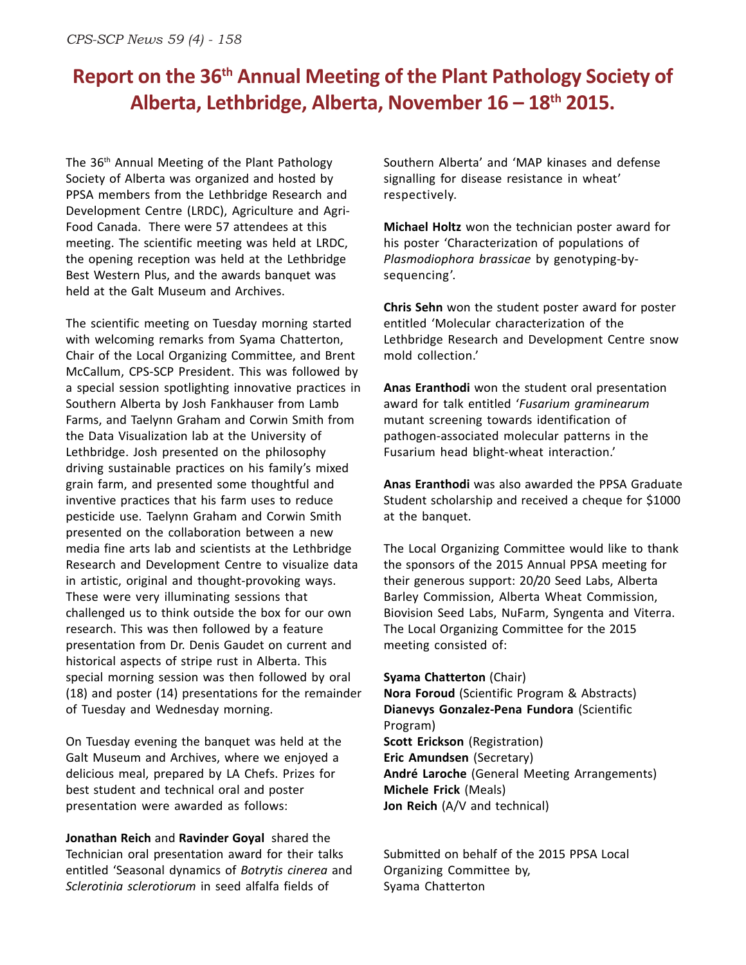### **Report on the 36th Annual Meeting of the Plant Pathology Society of Alberta, Lethbridge, Alberta, November 16 – 18th 2015.**

The 36th Annual Meeting of the Plant Pathology Society of Alberta was organized and hosted by PPSA members from the Lethbridge Research and Development Centre (LRDC), Agriculture and Agri-Food Canada. There were 57 attendees at this meeting. The scientific meeting was held at LRDC, the opening reception was held at the Lethbridge Best Western Plus, and the awards banquet was held at the Galt Museum and Archives.

The scientific meeting on Tuesday morning started with welcoming remarks from Syama Chatterton, Chair of the Local Organizing Committee, and Brent McCallum, CPS-SCP President. This was followed by a special session spotlighting innovative practices in Southern Alberta by Josh Fankhauser from Lamb Farms, and Taelynn Graham and Corwin Smith from the Data Visualization lab at the University of Lethbridge. Josh presented on the philosophy driving sustainable practices on his family's mixed grain farm, and presented some thoughtful and inventive practices that his farm uses to reduce pesticide use. Taelynn Graham and Corwin Smith presented on the collaboration between a new media fine arts lab and scientists at the Lethbridge Research and Development Centre to visualize data in artistic, original and thought-provoking ways. These were very illuminating sessions that challenged us to think outside the box for our own research. This was then followed by a feature presentation from Dr. Denis Gaudet on current and historical aspects of stripe rust in Alberta. This special morning session was then followed by oral (18) and poster (14) presentations for the remainder of Tuesday and Wednesday morning.

On Tuesday evening the banquet was held at the Galt Museum and Archives, where we enjoyed a delicious meal, prepared by LA Chefs. Prizes for best student and technical oral and poster presentation were awarded as follows:

**Jonathan Reich** and **Ravinder Goyal** shared the Technician oral presentation award for their talks entitled 'Seasonal dynamics of *Botrytis cinerea* and *Sclerotinia sclerotiorum* in seed alfalfa fields of

Southern Alberta' and 'MAP kinases and defense signalling for disease resistance in wheat' respectively.

**Michael Holtz** won the technician poster award for his poster 'Characterization of populations of *Plasmodiophora brassicae* by genotyping-bysequencing'.

**Chris Sehn** won the student poster award for poster entitled 'Molecular characterization of the Lethbridge Research and Development Centre snow mold collection.'

**Anas Eranthodi** won the student oral presentation award for talk entitled '*Fusarium graminearum* mutant screening towards identification of pathogen-associated molecular patterns in the Fusarium head blight-wheat interaction.'

**Anas Eranthodi** was also awarded the PPSA Graduate Student scholarship and received a cheque for \$1000 at the banquet.

The Local Organizing Committee would like to thank the sponsors of the 2015 Annual PPSA meeting for their generous support: 20/20 Seed Labs, Alberta Barley Commission, Alberta Wheat Commission, Biovision Seed Labs, NuFarm, Syngenta and Viterra. The Local Organizing Committee for the 2015 meeting consisted of:

**Syama Chatterton** (Chair)

**Nora Foroud** (Scientific Program & Abstracts) **Dianevys Gonzalez-Pena Fundora** (Scientific Program) **Scott Erickson** (Registration) **Eric Amundsen** (Secretary) **André Laroche** (General Meeting Arrangements) **Michele Frick** (Meals) **Jon Reich** (A/V and technical)

Submitted on behalf of the 2015 PPSA Local Organizing Committee by, Syama Chatterton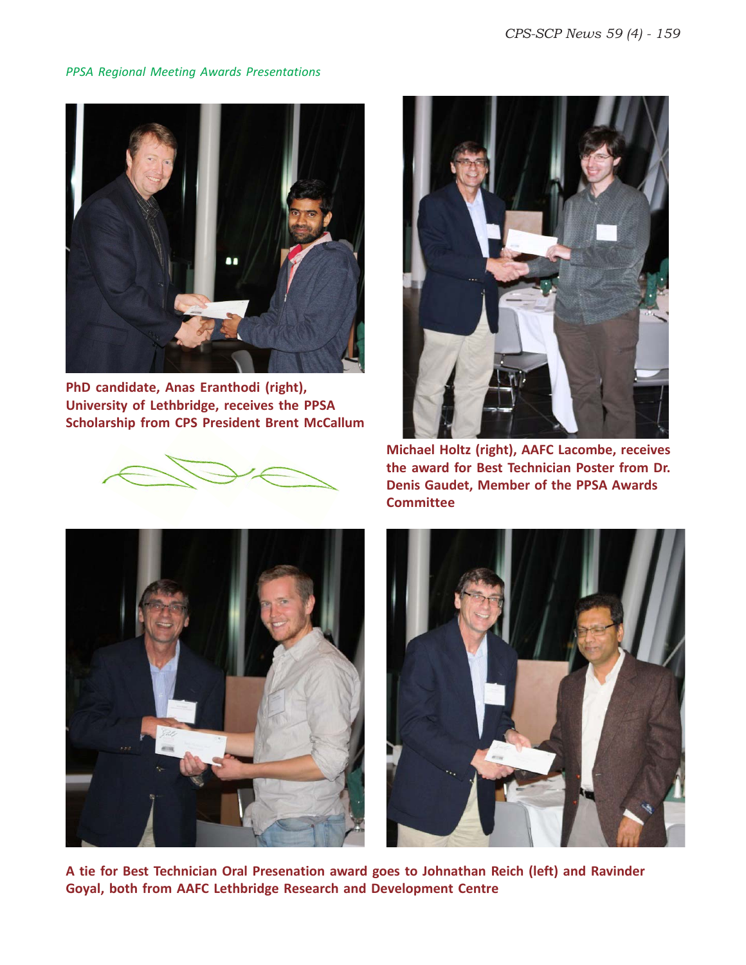*PPSA Regional Meeting Awards Presentations*



**PhD candidate, Anas Eranthodi (right), University of Lethbridge, receives the PPSA Scholarship from CPS President Brent McCallum**





**Michael Holtz (right), AAFC Lacombe, receives the award for Best Technician Poster from Dr. Denis Gaudet, Member of the PPSA Awards Committee**





**A tie for Best Technician Oral Presenation award goes to Johnathan Reich (left) and Ravinder Goyal, both from AAFC Lethbridge Research and Development Centre**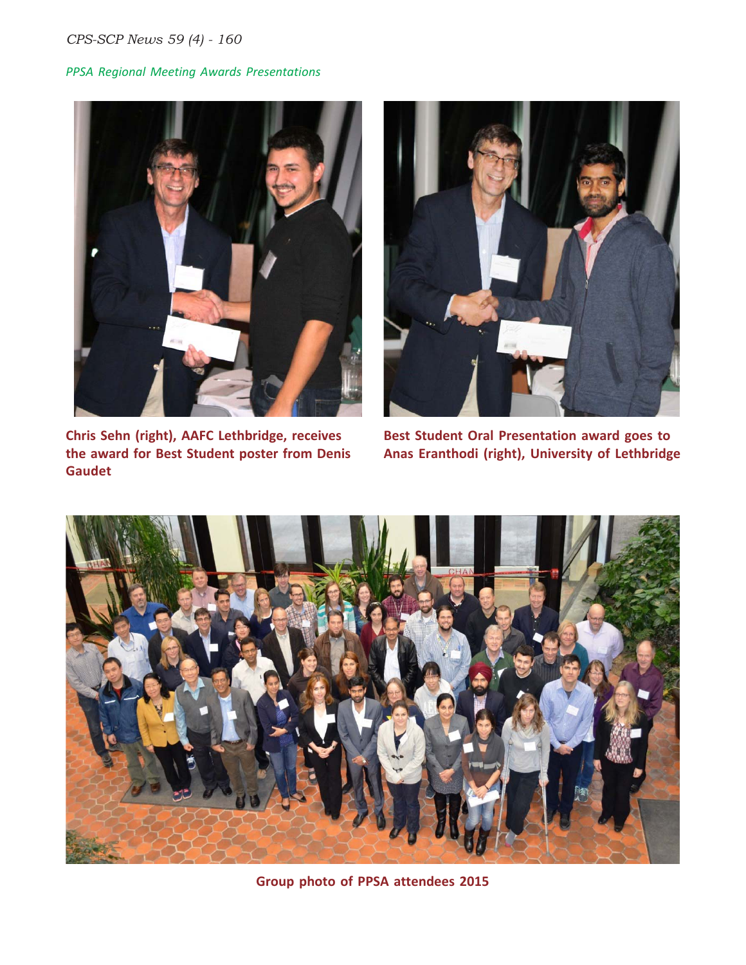#### *CPS-SCP News 59 (4) - 160*

#### *PPSA Regional Meeting Awards Presentations*



**Chris Sehn (right), AAFC Lethbridge, receives the award for Best Student poster from Denis Gaudet**



**Best Student Oral Presentation award goes to Anas Eranthodi (right), University of Lethbridge**



**Group photo of PPSA attendees 2015**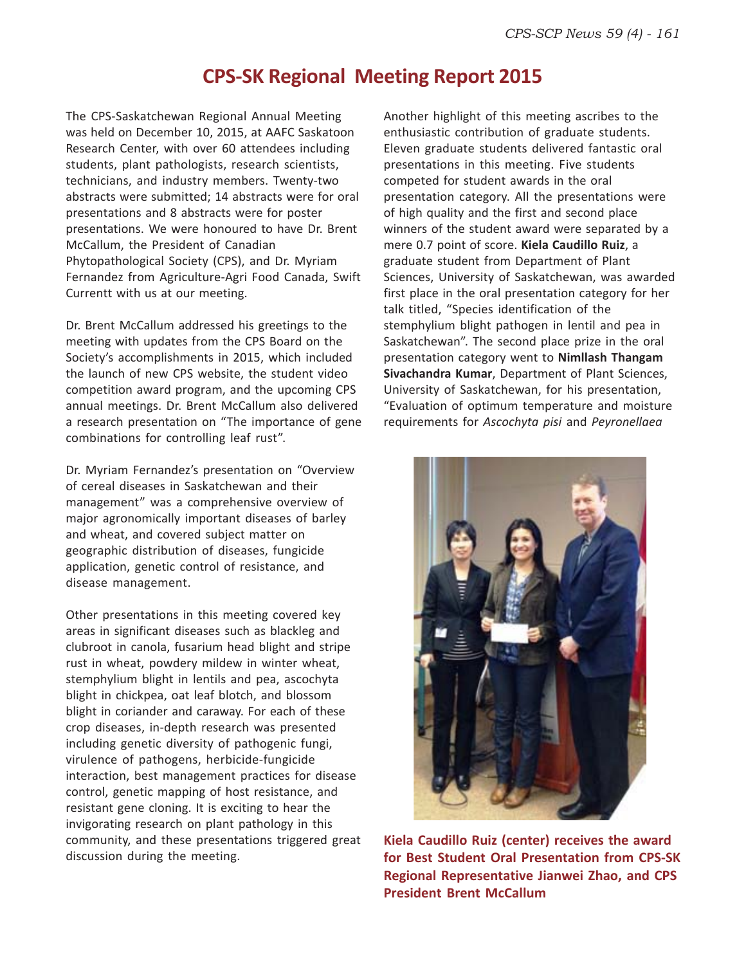### **CPS-SK Regional Meeting Report 2015**

The CPS-Saskatchewan Regional Annual Meeting was held on December 10, 2015, at AAFC Saskatoon Research Center, with over 60 attendees including students, plant pathologists, research scientists, technicians, and industry members. Twenty-two abstracts were submitted; 14 abstracts were for oral presentations and 8 abstracts were for poster presentations. We were honoured to have Dr. Brent McCallum, the President of Canadian Phytopathological Society (CPS), and Dr. Myriam Fernandez from Agriculture-Agri Food Canada, Swift Currentt with us at our meeting.

Dr. Brent McCallum addressed his greetings to the meeting with updates from the CPS Board on the Society's accomplishments in 2015, which included the launch of new CPS website, the student video competition award program, and the upcoming CPS annual meetings. Dr. Brent McCallum also delivered a research presentation on "The importance of gene combinations for controlling leaf rust".

Dr. Myriam Fernandez's presentation on "Overview of cereal diseases in Saskatchewan and their management" was a comprehensive overview of major agronomically important diseases of barley and wheat, and covered subject matter on geographic distribution of diseases, fungicide application, genetic control of resistance, and disease management.

Other presentations in this meeting covered key areas in significant diseases such as blackleg and clubroot in canola, fusarium head blight and stripe rust in wheat, powdery mildew in winter wheat, stemphylium blight in lentils and pea, ascochyta blight in chickpea, oat leaf blotch, and blossom blight in coriander and caraway. For each of these crop diseases, in-depth research was presented including genetic diversity of pathogenic fungi, virulence of pathogens, herbicide-fungicide interaction, best management practices for disease control, genetic mapping of host resistance, and resistant gene cloning. It is exciting to hear the invigorating research on plant pathology in this community, and these presentations triggered great discussion during the meeting.

Another highlight of this meeting ascribes to the enthusiastic contribution of graduate students. Eleven graduate students delivered fantastic oral presentations in this meeting. Five students competed for student awards in the oral presentation category. All the presentations were of high quality and the first and second place winners of the student award were separated by a mere 0.7 point of score. **Kiela Caudillo Ruiz**, a graduate student from Department of Plant Sciences, University of Saskatchewan, was awarded first place in the oral presentation category for her talk titled, "Species identification of the stemphylium blight pathogen in lentil and pea in Saskatchewan". The second place prize in the oral presentation category went to **Nimllash Thangam Sivachandra Kumar**, Department of Plant Sciences, University of Saskatchewan, for his presentation, "Evaluation of optimum temperature and moisture requirements for *Ascochyta pisi* and *Peyronellaea*



**Kiela Caudillo Ruiz (center) receives the award for Best Student Oral Presentation from CPS-SK Regional Representative Jianwei Zhao, and CPS President Brent McCallum**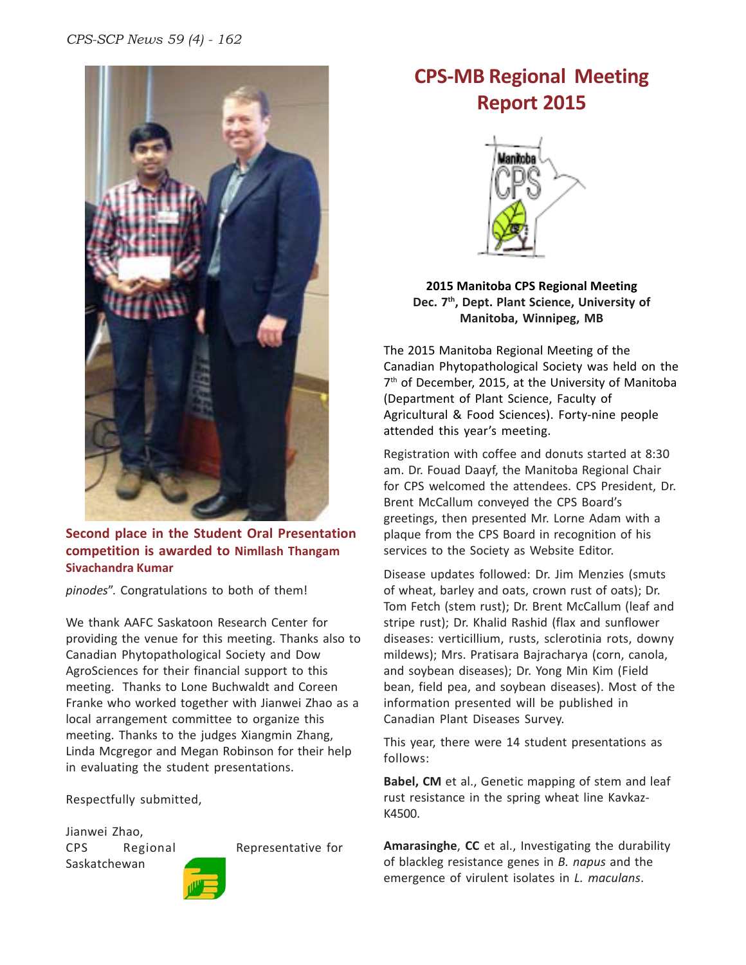

**Second place in the Student Oral Presentation competition is awarded to Nimllash Thangam Sivachandra Kumar**

*pinodes*". Congratulations to both of them!

We thank AAFC Saskatoon Research Center for providing the venue for this meeting. Thanks also to Canadian Phytopathological Society and Dow AgroSciences for their financial support to this meeting. Thanks to Lone Buchwaldt and Coreen Franke who worked together with Jianwei Zhao as a local arrangement committee to organize this meeting. Thanks to the judges Xiangmin Zhang, Linda Mcgregor and Megan Robinson for their help in evaluating the student presentations.

Respectfully submitted,

Jianwei Zhao, Saskatchewan

CPS Regional Representative for





#### **2015 Manitoba CPS Regional Meeting Dec. 7th, Dept. Plant Science, University of Manitoba, Winnipeg, MB**

The 2015 Manitoba Regional Meeting of the Canadian Phytopathological Society was held on the 7<sup>th</sup> of December, 2015, at the University of Manitoba (Department of Plant Science, Faculty of Agricultural & Food Sciences). Forty-nine people attended this year's meeting.

Registration with coffee and donuts started at 8:30 am. Dr. Fouad Daayf, the Manitoba Regional Chair for CPS welcomed the attendees. CPS President, Dr. Brent McCallum conveyed the CPS Board's greetings, then presented Mr. Lorne Adam with a plaque from the CPS Board in recognition of his services to the Society as Website Editor.

Disease updates followed: Dr. Jim Menzies (smuts of wheat, barley and oats, crown rust of oats); Dr. Tom Fetch (stem rust); Dr. Brent McCallum (leaf and stripe rust); Dr. Khalid Rashid (flax and sunflower diseases: verticillium, rusts, sclerotinia rots, downy mildews); Mrs. Pratisara Bajracharya (corn, canola, and soybean diseases); Dr. Yong Min Kim (Field bean, field pea, and soybean diseases). Most of the information presented will be published in Canadian Plant Diseases Survey.

This year, there were 14 student presentations as follows:

**Babel, CM** et al., Genetic mapping of stem and leaf rust resistance in the spring wheat line Kavkaz-K4500.

**Amarasinghe**, **CC** et al., Investigating the durability of blackleg resistance genes in *B. napus* and the emergence of virulent isolates in *L. maculans*.

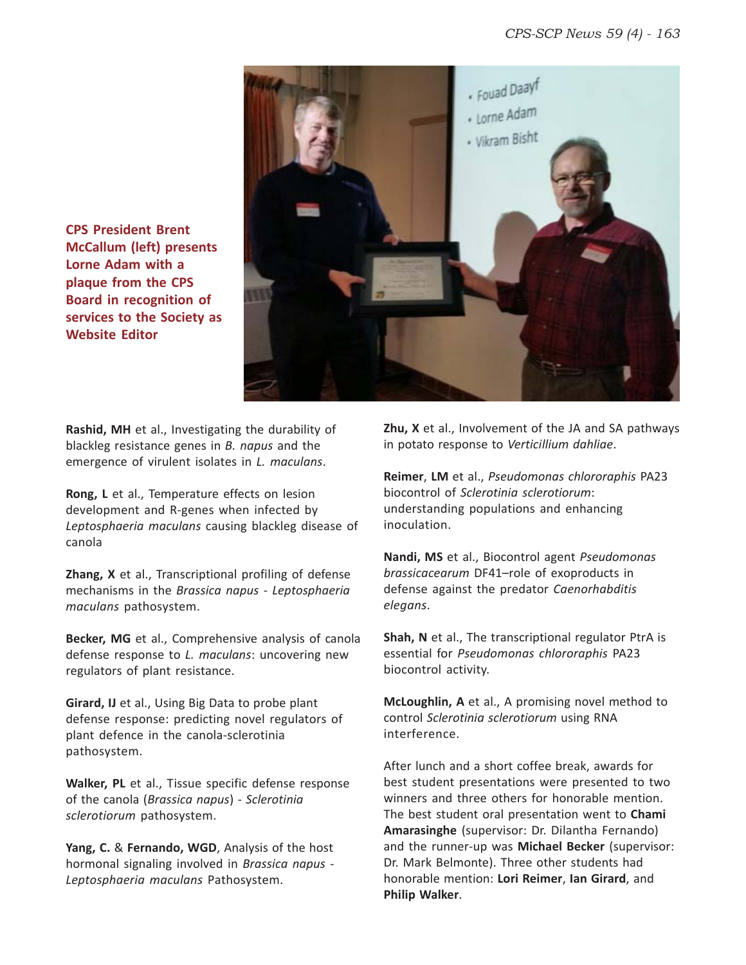

**CPS President Brent McCallum (left) presents Lorne Adam with a plaque from the CPS Board in recognition of services to the Society as Website Editor**

**Rashid, MH** et al., Investigating the durability of blackleg resistance genes in *B. napus* and the emergence of virulent isolates in *L. maculans*.

**Rong, L** et al., Temperature effects on lesion development and R-genes when infected by *Leptosphaeria maculans* causing blackleg disease of canola

**Zhang, X** et al., Transcriptional profiling of defense mechanisms in the *Brassica napus* - *Leptosphaeria maculans* pathosystem.

**Becker, MG** et al., Comprehensive analysis of canola defense response to *L. maculans*: uncovering new regulators of plant resistance.

**Girard, IJ** et al., Using Big Data to probe plant defense response: predicting novel regulators of plant defence in the canola-sclerotinia pathosystem.

**Walker, PL** et al., Tissue specific defense response of the canola (*Brassica napus*) - *Sclerotinia sclerotiorum* pathosystem.

**Yang, C.** & **Fernando, WGD**, Analysis of the host hormonal signaling involved in *Brassica napus* - *Leptosphaeria maculans* Pathosystem.

**Zhu, X** et al., Involvement of the JA and SA pathways in potato response to *Verticillium dahliae*.

**Reimer**, **LM** et al., *Pseudomonas chlororaphis* PA23 biocontrol of *Sclerotinia sclerotiorum*: understanding populations and enhancing inoculation.

**Nandi, MS** et al., Biocontrol agent *Pseudomonas brassicacearum* DF41–role of exoproducts in defense against the predator *Caenorhabditis elegans*.

**Shah, N** et al., The transcriptional regulator PtrA is essential for *Pseudomonas chlororaphis* PA23 biocontrol activity.

**McLoughlin, A** et al., A promising novel method to control *Sclerotinia sclerotiorum* using RNA interference.

After lunch and a short coffee break, awards for best student presentations were presented to two winners and three others for honorable mention. The best student oral presentation went to **Chami Amarasinghe** (supervisor: Dr. Dilantha Fernando) and the runner-up was **Michael Becker** (supervisor: Dr. Mark Belmonte). Three other students had honorable mention: **Lori Reimer**, **Ian Girard**, and **Philip Walker**.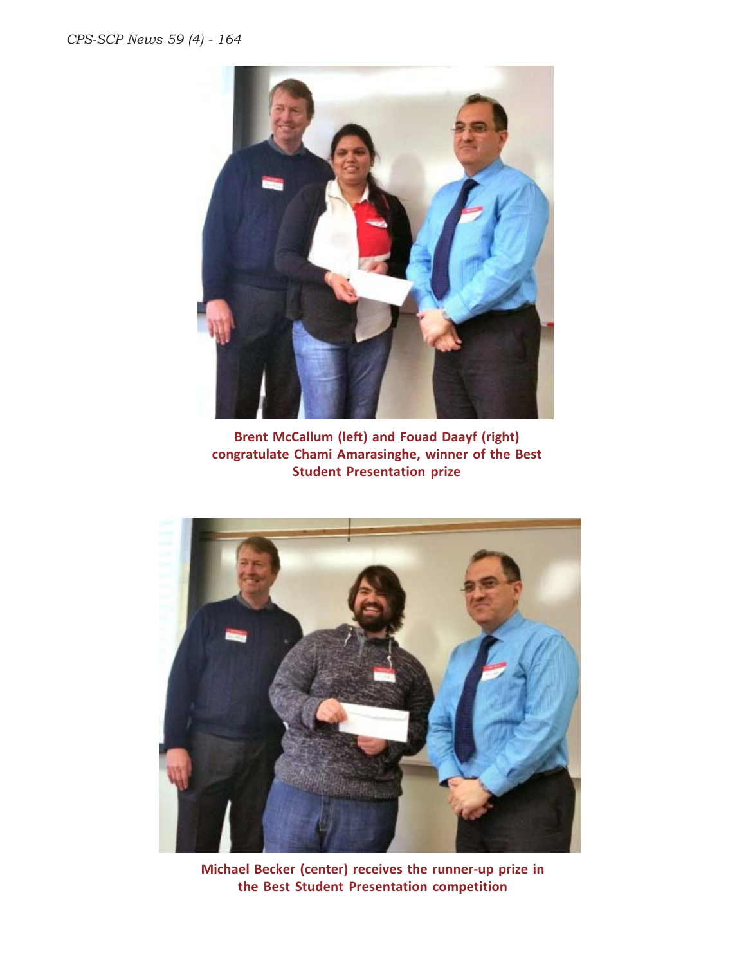

**Brent McCallum (left) and Fouad Daayf (right) congratulate Chami Amarasinghe, winner of the Best Student Presentation prize**



**Michael Becker (center) receives the runner-up prize in the Best Student Presentation competition**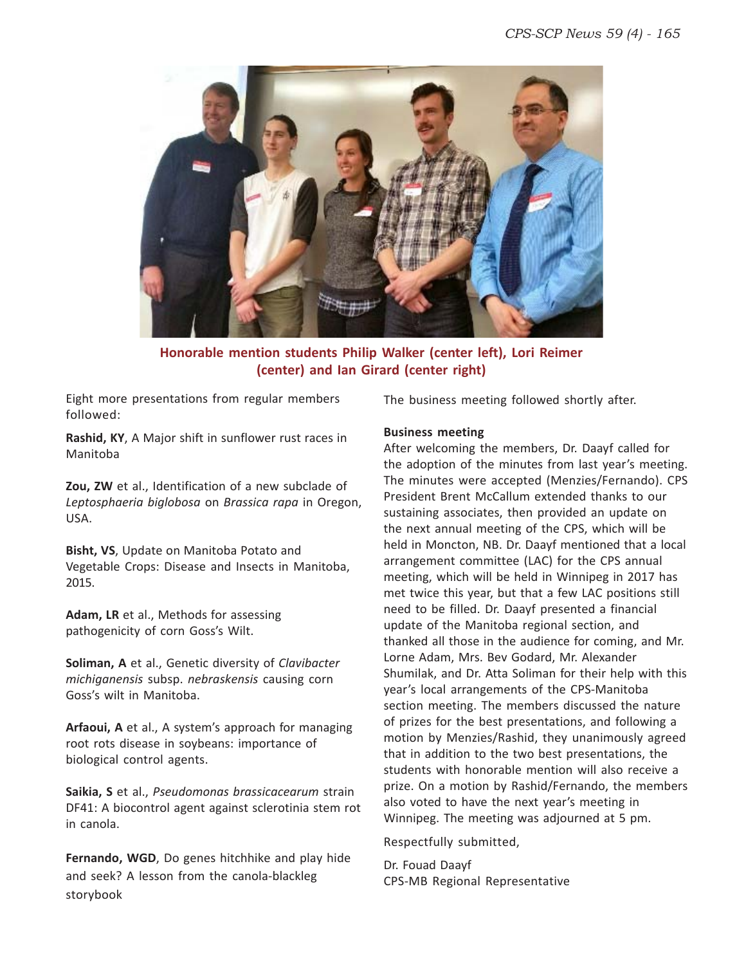

**Honorable mention students Philip Walker (center left), Lori Reimer (center) and Ian Girard (center right)**

Eight more presentations from regular members followed:

**Rashid, KY**, A Major shift in sunflower rust races in Manitoba

**Zou, ZW** et al., Identification of a new subclade of *Leptosphaeria biglobosa* on *Brassica rapa* in Oregon, USA.

**Bisht, VS**, Update on Manitoba Potato and Vegetable Crops: Disease and Insects in Manitoba, 2015.

**Adam, LR** et al., Methods for assessing pathogenicity of corn Goss's Wilt.

**Soliman, A** et al., Genetic diversity of *Clavibacter michiganensis* subsp. *nebraskensis* causing corn Goss's wilt in Manitoba.

**Arfaoui, A** et al., A system's approach for managing root rots disease in soybeans: importance of biological control agents.

**Saikia, S** et al., *Pseudomonas brassicacearum* strain DF41: A biocontrol agent against sclerotinia stem rot in canola.

**Fernando, WGD**, Do genes hitchhike and play hide and seek? A lesson from the canola-blackleg storybook

The business meeting followed shortly after.

#### **Business meeting**

After welcoming the members, Dr. Daayf called for the adoption of the minutes from last year's meeting. The minutes were accepted (Menzies/Fernando). CPS President Brent McCallum extended thanks to our sustaining associates, then provided an update on the next annual meeting of the CPS, which will be held in Moncton, NB. Dr. Daayf mentioned that a local arrangement committee (LAC) for the CPS annual meeting, which will be held in Winnipeg in 2017 has met twice this year, but that a few LAC positions still need to be filled. Dr. Daayf presented a financial update of the Manitoba regional section, and thanked all those in the audience for coming, and Mr. Lorne Adam, Mrs. Bev Godard, Mr. Alexander Shumilak, and Dr. Atta Soliman for their help with this year's local arrangements of the CPS-Manitoba section meeting. The members discussed the nature of prizes for the best presentations, and following a motion by Menzies/Rashid, they unanimously agreed that in addition to the two best presentations, the students with honorable mention will also receive a prize. On a motion by Rashid/Fernando, the members also voted to have the next year's meeting in Winnipeg. The meeting was adjourned at 5 pm.

Respectfully submitted,

Dr. Fouad Daayf CPS-MB Regional Representative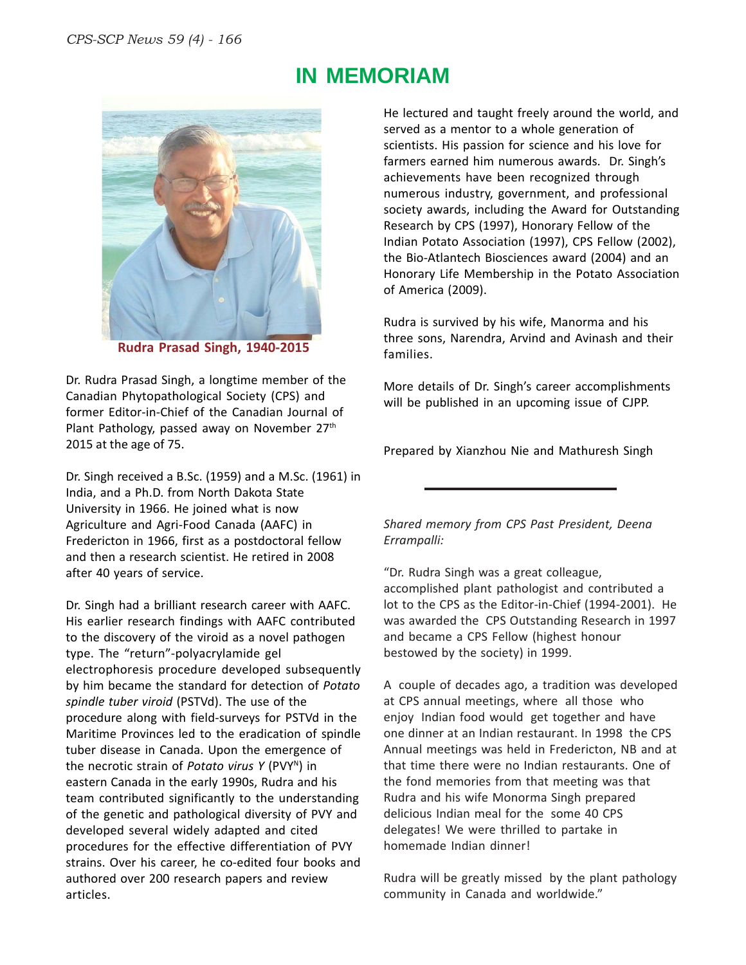

**Rudra Prasad Singh, 1940-2015**

Dr. Rudra Prasad Singh, a longtime member of the Canadian Phytopathological Society (CPS) and former Editor-in-Chief of the Canadian Journal of Plant Pathology, passed away on November 27<sup>th</sup> 2015 at the age of 75.

Dr. Singh received a B.Sc. (1959) and a M.Sc. (1961) in India, and a Ph.D. from North Dakota State University in 1966. He joined what is now Agriculture and Agri-Food Canada (AAFC) in Fredericton in 1966, first as a postdoctoral fellow and then a research scientist. He retired in 2008 after 40 years of service.

Dr. Singh had a brilliant research career with AAFC. His earlier research findings with AAFC contributed to the discovery of the viroid as a novel pathogen type. The "return"-polyacrylamide gel electrophoresis procedure developed subsequently by him became the standard for detection of *Potato spindle tuber viroid* (PSTVd). The use of the procedure along with field-surveys for PSTVd in the Maritime Provinces led to the eradication of spindle tuber disease in Canada. Upon the emergence of the necrotic strain of *Potato virus Y* (PVYN) in eastern Canada in the early 1990s, Rudra and his team contributed significantly to the understanding of the genetic and pathological diversity of PVY and developed several widely adapted and cited procedures for the effective differentiation of PVY strains. Over his career, he co-edited four books and authored over 200 research papers and review articles.

He lectured and taught freely around the world, and served as a mentor to a whole generation of scientists. His passion for science and his love for farmers earned him numerous awards. Dr. Singh's achievements have been recognized through numerous industry, government, and professional society awards, including the Award for Outstanding Research by CPS (1997), Honorary Fellow of the Indian Potato Association (1997), CPS Fellow (2002), the Bio-Atlantech Biosciences award (2004) and an Honorary Life Membership in the Potato Association of America (2009).

Rudra is survived by his wife, Manorma and his three sons, Narendra, Arvind and Avinash and their families.

More details of Dr. Singh's career accomplishments will be published in an upcoming issue of CJPP.

Prepared by Xianzhou Nie and Mathuresh Singh

#### *Shared memory from CPS Past President, Deena Errampalli:*

"Dr. Rudra Singh was a great colleague, accomplished plant pathologist and contributed a lot to the CPS as the Editor-in-Chief (1994-2001). He was awarded the CPS Outstanding Research in 1997 and became a CPS Fellow (highest honour bestowed by the society) in 1999.

A couple of decades ago, a tradition was developed at CPS annual meetings, where all those who enjoy Indian food would get together and have one dinner at an Indian restaurant. In 1998 the CPS Annual meetings was held in Fredericton, NB and at that time there were no Indian restaurants. One of the fond memories from that meeting was that Rudra and his wife Monorma Singh prepared delicious Indian meal for the some 40 CPS delegates! We were thrilled to partake in homemade Indian dinner!

Rudra will be greatly missed by the plant pathology community in Canada and worldwide."

### **IN MEMORIAM**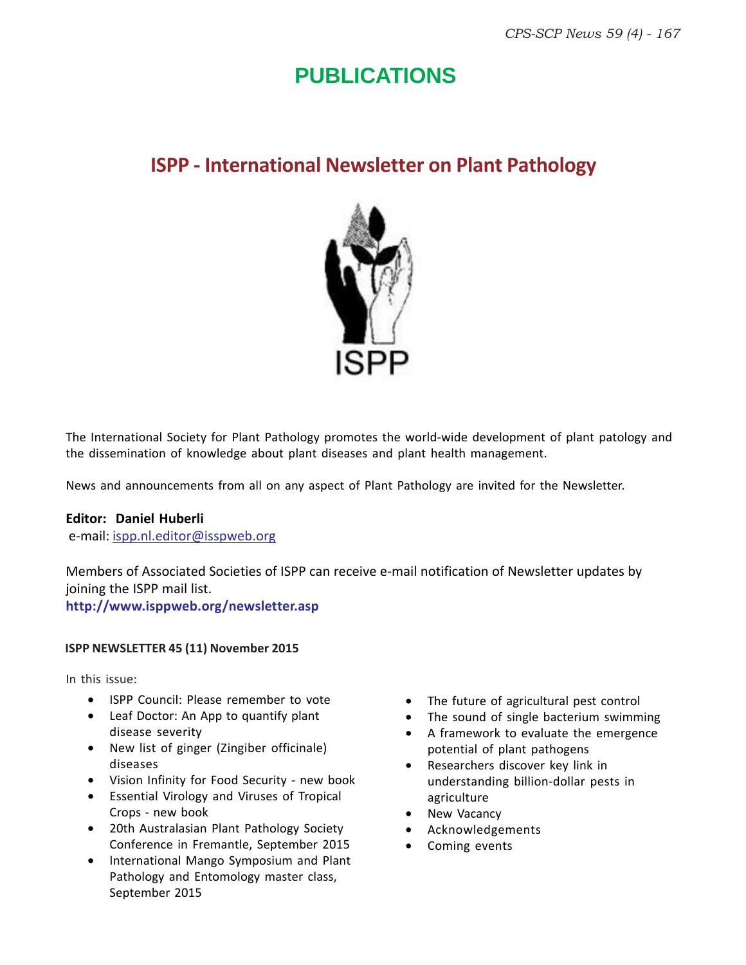### **PUBLICATIONS**

### **ISPP - International Newsletter on Plant Pathology**



The International Society for Plant Pathology promotes the world-wide development of plant patology and the dissemination of knowledge about plant diseases and plant health management.

News and announcements from all on any aspect of Plant Pathology are invited for the Newsletter.

#### **Editor: Daniel Huberli**

e-mail: ispp.nl.editor@isspweb.org

Members of Associated Societies of ISPP can receive e-mail notification of Newsletter updates by joining the ISPP mail list.

**http://www.isppweb.org/newsletter.asp**

#### **ISPP NEWSLETTER 45 (11) November 2015**

In this issue:

- ISPP Council: Please remember to vote
- Leaf Doctor: An App to quantify plant disease severity
- New list of ginger (Zingiber officinale) diseases
- Vision Infinity for Food Security new book
- Essential Virology and Viruses of Tropical Crops - new book
- 20th Australasian Plant Pathology Society Conference in Fremantle, September 2015
- International Mango Symposium and Plant Pathology and Entomology master class, September 2015
- The future of agricultural pest control
- The sound of single bacterium swimming
- A framework to evaluate the emergence potential of plant pathogens
- Researchers discover key link in understanding billion-dollar pests in agriculture
- New Vacancy
- Acknowledgements
- Coming events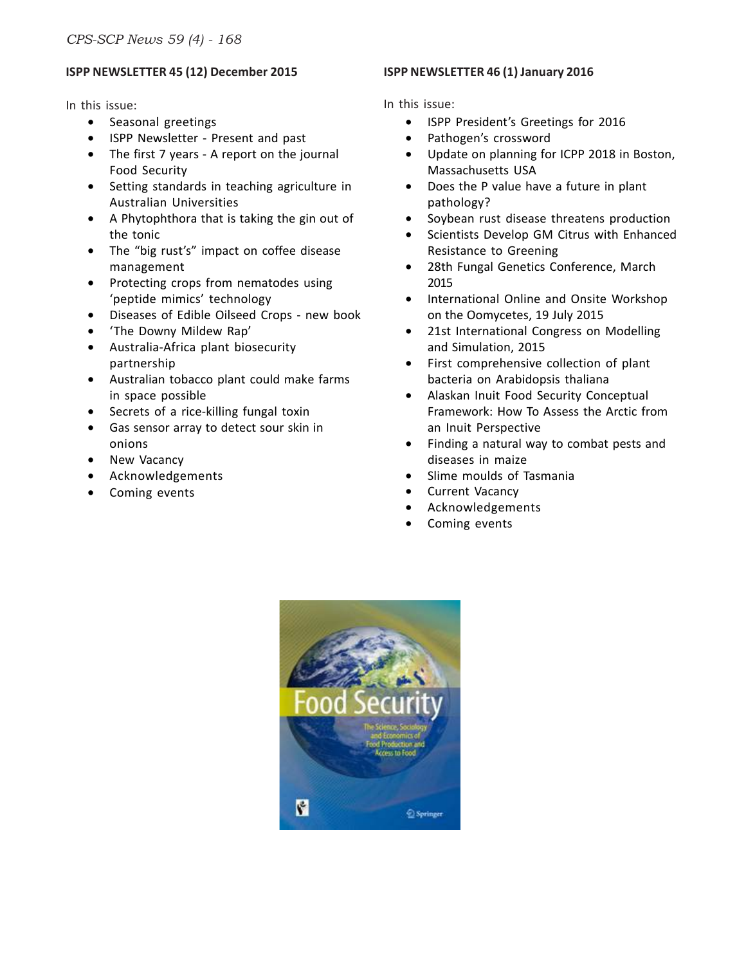#### **ISPP NEWSLETTER 45 (12) December 2015**

In this issue:

- Seasonal greetings
- ISPP Newsletter Present and past
- The first 7 years A report on the journal Food Security
- Setting standards in teaching agriculture in Australian Universities
- A Phytophthora that is taking the gin out of the tonic
- The "big rust's" impact on coffee disease management
- Protecting crops from nematodes using 'peptide mimics' technology
- Diseases of Edible Oilseed Crops new book
- 'The Downy Mildew Rap'
- Australia-Africa plant biosecurity partnership
- Australian tobacco plant could make farms in space possible
- Secrets of a rice-killing fungal toxin
- Gas sensor array to detect sour skin in onions
- New Vacancy
- Acknowledgements
- Coming events

#### **ISPP NEWSLETTER 46 (1) January 2016**

#### In this issue:

- ISPP President's Greetings for 2016
- Pathogen's crossword
- Update on planning for ICPP 2018 in Boston, Massachusetts USA
- Does the P value have a future in plant pathology?
- Soybean rust disease threatens production
- Scientists Develop GM Citrus with Enhanced Resistance to Greening
- 28th Fungal Genetics Conference, March 2015
- International Online and Onsite Workshop on the Oomycetes, 19 July 2015
- 21st International Congress on Modelling and Simulation, 2015
- First comprehensive collection of plant bacteria on Arabidopsis thaliana
- Alaskan Inuit Food Security Conceptual Framework: How To Assess the Arctic from an Inuit Perspective
- Finding a natural way to combat pests and diseases in maize
- Slime moulds of Tasmania
- Current Vacancy
- Acknowledgements
- Coming events

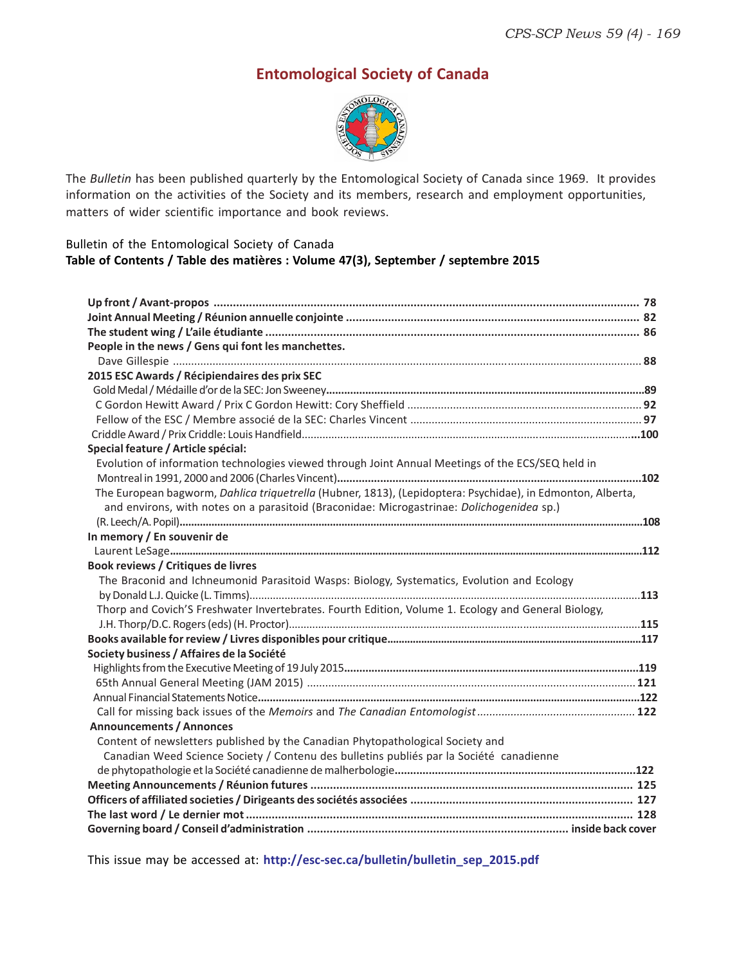### **Entomological Society of Canada**



The *Bulletin* has been published quarterly by the Entomological Society of Canada since 1969. It provides information on the activities of the Society and its members, research and employment opportunities, matters of wider scientific importance and book reviews.

#### Bulletin of the Entomological Society of Canada **Table of Contents / Table des matières : Volume 47(3), September / septembre 2015**

| People in the news / Gens qui font les manchettes.                                                         |  |
|------------------------------------------------------------------------------------------------------------|--|
|                                                                                                            |  |
| 2015 ESC Awards / Récipiendaires des prix SEC                                                              |  |
|                                                                                                            |  |
|                                                                                                            |  |
|                                                                                                            |  |
|                                                                                                            |  |
| Special feature / Article spécial:                                                                         |  |
| Evolution of information technologies viewed through Joint Annual Meetings of the ECS/SEQ held in          |  |
|                                                                                                            |  |
| The European bagworm, Dahlica triquetrella (Hubner, 1813), (Lepidoptera: Psychidae), in Edmonton, Alberta, |  |
| and environs, with notes on a parasitoid (Braconidae: Microgastrinae: Dolichogenidea sp.)                  |  |
|                                                                                                            |  |
| In memory / En souvenir de                                                                                 |  |
|                                                                                                            |  |
| Book reviews / Critiques de livres                                                                         |  |
| The Braconid and Ichneumonid Parasitoid Wasps: Biology, Systematics, Evolution and Ecology                 |  |
|                                                                                                            |  |
| Thorp and Covich'S Freshwater Invertebrates. Fourth Edition, Volume 1. Ecology and General Biology,        |  |
|                                                                                                            |  |
|                                                                                                            |  |
| Society business / Affaires de la Société                                                                  |  |
|                                                                                                            |  |
|                                                                                                            |  |
|                                                                                                            |  |
|                                                                                                            |  |
| <b>Announcements / Annonces</b>                                                                            |  |
| Content of newsletters published by the Canadian Phytopathological Society and                             |  |
| Canadian Weed Science Society / Contenu des bulletins publiés par la Société canadienne                    |  |
|                                                                                                            |  |
|                                                                                                            |  |
|                                                                                                            |  |
|                                                                                                            |  |
|                                                                                                            |  |
|                                                                                                            |  |

This issue may be accessed at: **http://esc-sec.ca/bulletin/bulletin\_sep\_2015.pdf**